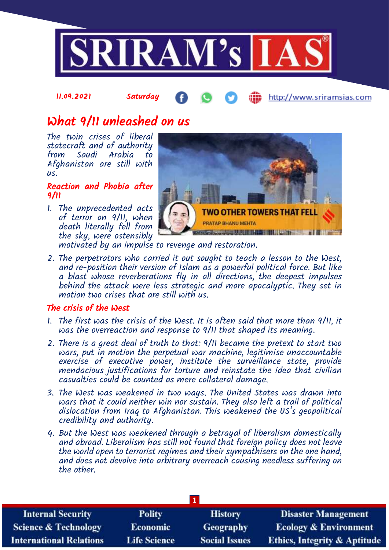

### 11.09.2021 Saturday http://www.sriramsias.com

# What 9/11 unleashed on us

The twin crises of liberal statecraft and of authority from Saudi Arabia to Afghanistan are still with us.

### Reaction and Phobia after 9/11

1. The unprecedented acts of terror on 9/11, when death literally fell from the sky, were ostensibly



motivated by an impulse to revenge and restoration.

2. The perpetrators who carried it out sought to teach a lesson to the West, and re-position their version of Islam as a powerful political force. But like a blast whose reverberations fly in all directions, the deepest impulses behind the attack were less strategic and more apocalyptic. They set in motion two crises that are still with us.

### The crisis of the West

- 1. The first was the crisis of the West. It is often said that more than 9/11, it was the overreaction and response to 9/11 that shaped its meaning.
- 2. There is a great deal of truth to that: 9/11 became the pretext to start two wars, put in motion the perpetual war machine, legitimise unaccountable exercise of executive power, institute the surveillance state, provide mendacious justifications for torture and reinstate the idea that civilian casualties could be counted as mere collateral damage.
- 3. The West was weakened in two ways. The United States was drawn into wars that it could neither win nor sustain. They also left a trail of political dislocation from Iraq to Afghanistan. This weakened the US's geopolitical credibility and authority.
- 4. But the West was weakened through a betrayal of liberalism domestically and abroad. Liberalism has still not found that foreign policy does not leave the world open to terrorist regimes and their sympathisers on the one hand, and does not devolve into arbitrary overreach causing needless suffering on the other.

| <b>Internal Security</b>        | <b>Polity</b>       | <b>History</b>       | <b>Disaster Management</b>              |
|---------------------------------|---------------------|----------------------|-----------------------------------------|
| <b>Science &amp; Technology</b> | <b>Economic</b>     | Geography            | <b>Ecology &amp; Environment</b>        |
| <b>International Relations</b>  | <b>Life Science</b> | <b>Social Issues</b> | <b>Ethics, Integrity &amp; Aptitude</b> |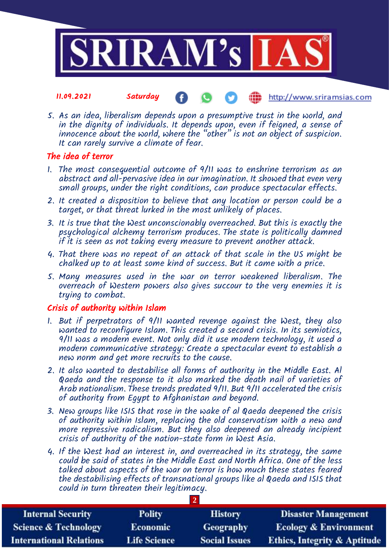

- 11.09.2021 Saturday http://www.sriramsias.com
- 5. As an idea, liberalism depends upon a presumptive trust in the world, and in the dignity of individuals. It depends upon, even if feigned, a sense of innocence about the world, where the "other" is not an object of suspicion. It can rarely survive a climate of fear.

# The idea of terror

- 1. The most consequential outcome of 9/11 was to enshrine terrorism as an abstract and all-pervasive idea in our imagination. It showed that even very small groups, under the right conditions, can produce spectacular effects.
- 2. It created a disposition to believe that any location or person could be a target, or that threat lurked in the most unlikely of places.
- 3. It is true that the West unconscionably overreached. But this is exactly the psychological alchemy terrorism produces. The state is politically damned if it is seen as not taking every measure to prevent another attack.
- 4. That there was no repeat of an attack of that scale in the US might be chalked up to at least some kind of success. But it came with a price.
- 5. Many measures used in the war on terror weakened liberalism. The overreach of Western powers also gives succour to the very enemies it is trying to combat.

# Crisis of authority within Islam

- 1. But if perpetrators of 9/11 wanted revenge against the West, they also wanted to reconfigure Islam. This created a second crisis. In its semiotics, 9/11 was a modern event. Not only did it use modern technology, it used a modern communicative strategy: Create a spectacular event to establish a new norm and get more recruits to the cause.
- 2. It also wanted to destabilise all forms of authority in the Middle East. Al Qaeda and the response to it also marked the death nail of varieties of Arab nationalism. These trends predated 9/11. But 9/11 accelerated the crisis of authority from Egypt to Afghanistan and beyond.
- 3. New groups like ISIS that rose in the wake of al Qaeda deepened the crisis of authority within Islam, replacing the old conservatism with a new and more repressive radicalism. But they also deepened an already incipient crisis of authority of the nation-state form in West Asia.
- 4. If the West had an interest in, and overreached in its strategy, the same could be said of states in the Middle East and North Africa. One of the less talked about aspects of the war on terror is how much these states feared the destabilising effects of transnational groups like al Qaeda and ISIS that could in turn threaten their legitimacy.

| <b>Internal Security</b>        | <b>Polity</b>       | <b>History</b>       | <b>Disaster Management</b>              |
|---------------------------------|---------------------|----------------------|-----------------------------------------|
| <b>Science &amp; Technology</b> | <b>Economic</b>     | Geography            | <b>Ecology &amp; Environment</b>        |
| <b>International Relations</b>  | <b>Life Science</b> | <b>Social Issues</b> | <b>Ethics, Integrity &amp; Aptitude</b> |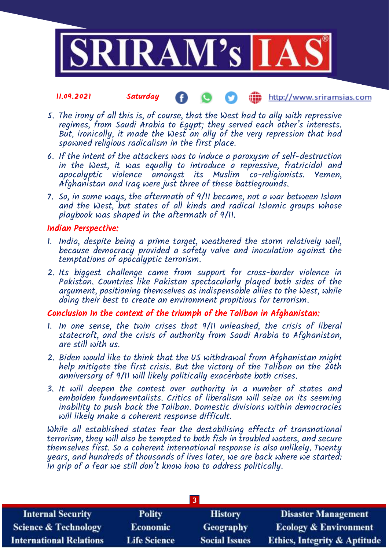

### 11.09.2021 Saturday **(iii)** http://www.sriramsias.com

- 5. The irony of all this is, of course, that the West had to ally with repressive regimes, from Saudi Arabia to Egypt; they served each other's interests. But, ironically, it made the West an ally of the very repression that had spawned religious radicalism in the first place.
- 6. If the intent of the attackers was to induce a paroxysm of self-destruction in the West, it was equally to introduce a repressive, fratricidal and apocalyptic violence amongst its Muslim co-religionists. Yemen, Afghanistan and Iraq were just three of these battlegrounds.
- 7. So, in some ways, the aftermath of 9/11 became, not a war between Islam and the West, but states of all kinds and radical Islamic groups whose playbook was shaped in the aftermath of 9/11.

### Indian Perspective:

- 1. India, despite being a prime target, weathered the storm relatively well, because democracy provided a safety valve and inoculation against the temptations of apocalyptic terrorism.
- 2. Its biggest challenge came from support for cross-border violence in Pakistan. Countries like Pakistan spectacularly played both sides of the argument, positioning themselves as indispensable allies to the West, while doing their best to create an environment propitious for terrorism.

# Conclusion In the context of the triumph of the Taliban in Afghanistan:

- 1. In one sense, the twin crises that 9/11 unleashed, the crisis of liberal statecraft, and the crisis of authority from Saudi Arabia to Afghanistan, are still with us.
- 2. Biden would like to think that the US withdrawal from Afghanistan might help mitigate the first crisis. But the victory of the Taliban on the 20th anniversary of 9/11 will likely politically exacerbate both crises.
- 3. It will deepen the contest over authority in a number of states and embolden fundamentalists. Critics of liberalism will seize on its seeming inability to push back the Taliban. Domestic divisions within democracies will likely make a coherent response difficult.

While all established states fear the destabilising effects of transnational terrorism, they will also be tempted to both fish in troubled waters, and secure themselves first. So a coherent international response is also unlikely. Twenty years, and hundreds of thousands of lives later, we are back where we started: In grip of a fear we still don't know how to address politically.

| <b>Internal Security</b>        | <b>Polity</b>       | <b>History</b>       | <b>Disaster Management</b>              |
|---------------------------------|---------------------|----------------------|-----------------------------------------|
| <b>Science &amp; Technology</b> | Economic            | Geography            | <b>Ecology &amp; Environment</b>        |
| <b>International Relations</b>  | <b>Life Science</b> | <b>Social Issues</b> | <b>Ethics, Integrity &amp; Aptitude</b> |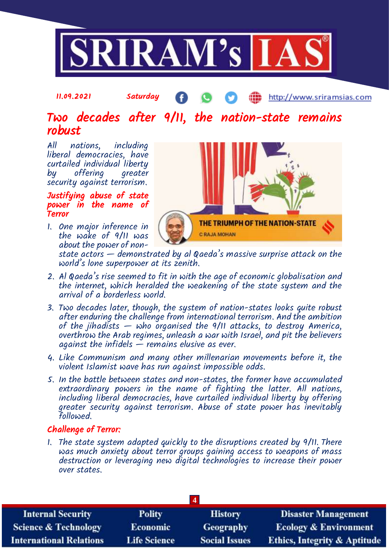

#### 11.09.2021 Saturday æ http://www.sriramsias.com

# Two decades after 9/11, the nation-state remains robust

All nations, including liberal democracies, have curtailed individual liberty by offering greater security against terrorism.

### Justifying abuse of state power in the name of **Terror**

1. One major inference in the wake of 9/11 was about the power of non-



state actors — demonstrated by al Qaeda's massive surprise attack on the world's lone superpower at its zenith.

- 2. Al Qaeda's rise seemed to fit in with the age of economic globalisation and the internet, which heralded the weakening of the state system and the arrival of a borderless world.
- 3. Two decades later, though, the system of nation-states looks quite robust after enduring the challenge from international terrorism. And the ambition of the jihadists — who organised the 9/11 attacks, to destroy America, overthrow the Arab regimes, unleash a war with Israel, and pit the believers against the infidels  $\frac{3}{2}$  remains elusive as ever.
- 4. Like Communism and many other millenarian movements before it, the violent Islamist wave has run against impossible odds.
- 5. In the battle between states and non-states, the former have accumulated extraordinary powers in the name of fighting the latter. All nations, including liberal democracies, have curtailed individual liberty by offering greater security against terrorism. Abuse of state power has inevitably followed.

### Challenge of Terror:

1. The state system adapted quickly to the disruptions created by 9/11. There was much anxiety about terror groups gaining access to weapons of mass destruction or leveraging new digital technologies to increase their power over states.

| $\overline{\mathbf{4}}$ |                      |                                         |  |
|-------------------------|----------------------|-----------------------------------------|--|
| <b>Polity</b>           | <b>History</b>       | <b>Disaster Management</b>              |  |
| <b>Economic</b>         | Geography            | <b>Ecology &amp; Environment</b>        |  |
| <b>Life Science</b>     | <b>Social Issues</b> | <b>Ethics, Integrity &amp; Aptitude</b> |  |
|                         |                      |                                         |  |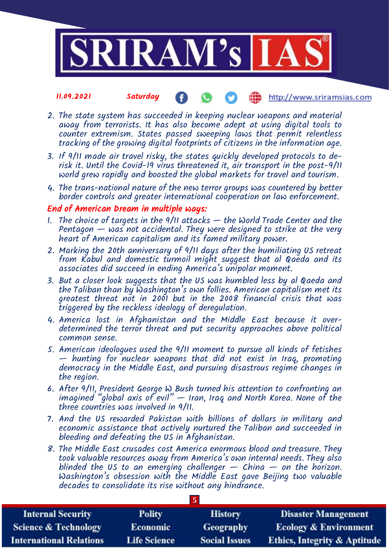

### 11.09.2021 Saturday http://www.sriramsias.com

- 2. The state system has succeeded in keeping nuclear weapons and material away from terrorists. It has also become adept at using digital tools to counter extremism. States passed sweeping laws that permit relentless tracking of the growing digital footprints of citizens in the information age.
- 3. If 9/11 made air travel risky, the states quickly developed protocols to derisk it. Until the Covid-19 virus threatened it, air transport in the post-9/11 world grew rapidly and boosted the global markets for travel and tourism.
- 4. The trans-national nature of the new terror groups was countered by better border controls and greater international cooperation on law enforcement.

### End of American Dream in multiple ways:

- 1. The choice of targets in the  $9/11$  attacks  $-$  the World Trade Center and the Pentagon  $-$  was not accidental. They were designed to strike at the very heart of American capitalism and its famed military power.
- 2. Marking the 20th anniversary of 9/11 days after the humiliating US retreat from Kabul and domestic turmoil might suggest that al Qaeda and its associates did succeed in ending America's unipolar moment.
- 3. But a closer look suggests that the US was humbled less by al Qaeda and the Taliban than by Washington's own follies. American capitalism met its greatest threat not in 2001 but in the 2008 financial crisis that was triggered by the reckless ideology of deregulation.
- 4. America lost in Afghanistan and the Middle East because it overdetermined the terror threat and put security approaches above political common sense.
- 5. American ideologues used the 9/11 moment to pursue all kinds of fetishes — hunting for nuclear weapons that did not exist in Iraq, promoting democracy in the Middle East, and pursuing disastrous regime changes in the region.
- 6. After 9/11, President George W Bush turned his attention to confronting an imagined "global axis of evil" — Iran, Iraq and North Korea. None of the three countries was involved in 9/11.
- 7. And the US rewarded Pakistan with billions of dollars in military and economic assistance that actively nurtured the Taliban and succeeded in bleeding and defeating the US in Afghanistan.
- 8. The Middle East crusades cost America enormous blood and treasure. They took valuable resources away from America's own internal needs. They also blinded the US to an emerging challenger  $-$  China  $-$  on the horizon. Washington's obsession with the Middle East gave Beijing two valuable decades to consolidate its rise without any hindrance.

| <b>Internal Security</b>        | <b>Polity</b>       | <b>History</b>       | <b>Disaster Management</b>              |
|---------------------------------|---------------------|----------------------|-----------------------------------------|
| <b>Science &amp; Technology</b> | <b>Economic</b>     | Geography            | <b>Ecology &amp; Environment</b>        |
| <b>International Relations</b>  | <b>Life Science</b> | <b>Social Issues</b> | <b>Ethics, Integrity &amp; Aptitude</b> |

**5**